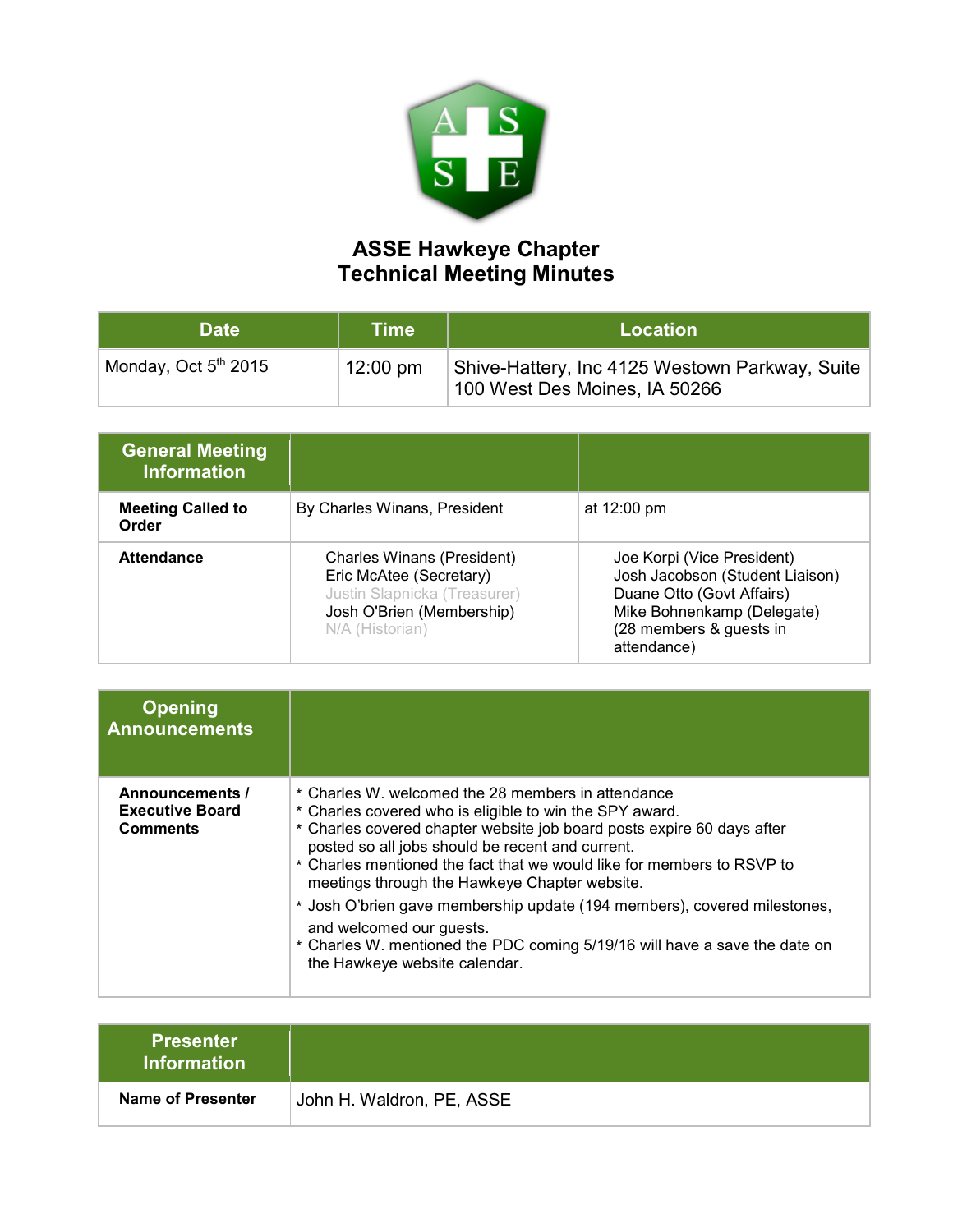

## **ASSE Hawkeye Chapter Technical Meeting Minutes**

| <b>Date</b>                      | <b>Time</b>        | <b>Location</b>                                                                 |
|----------------------------------|--------------------|---------------------------------------------------------------------------------|
| Monday, Oct 5 <sup>th</sup> 2015 | $12:00 \text{ pm}$ | Shive-Hattery, Inc 4125 Westown Parkway, Suite<br>100 West Des Moines, IA 50266 |

| <b>General Meeting</b><br><b>Information</b> |                                                                                                                                       |                                                                                                                                                                    |
|----------------------------------------------|---------------------------------------------------------------------------------------------------------------------------------------|--------------------------------------------------------------------------------------------------------------------------------------------------------------------|
| <b>Meeting Called to</b><br>Order            | By Charles Winans, President                                                                                                          | at $12:00 \text{ pm}$                                                                                                                                              |
| <b>Attendance</b>                            | Charles Winans (President)<br>Eric McAtee (Secretary)<br>Justin Slapnicka (Treasurer)<br>Josh O'Brien (Membership)<br>N/A (Historian) | Joe Korpi (Vice President)<br>Josh Jacobson (Student Liaison)<br>Duane Otto (Govt Affairs)<br>Mike Bohnenkamp (Delegate)<br>(28 members & guests in<br>attendance) |

| <b>Opening</b><br><b>Announcements</b>                       |                                                                                                                                                                                                                                                                                                                                                                                                                                                                                                                                                                                               |
|--------------------------------------------------------------|-----------------------------------------------------------------------------------------------------------------------------------------------------------------------------------------------------------------------------------------------------------------------------------------------------------------------------------------------------------------------------------------------------------------------------------------------------------------------------------------------------------------------------------------------------------------------------------------------|
| Announcements /<br><b>Executive Board</b><br><b>Comments</b> | * Charles W. welcomed the 28 members in attendance<br>* Charles covered who is eligible to win the SPY award.<br>* Charles covered chapter website job board posts expire 60 days after<br>posted so all jobs should be recent and current.<br>* Charles mentioned the fact that we would like for members to RSVP to<br>meetings through the Hawkeye Chapter website.<br>* Josh O'brien gave membership update (194 members), covered milestones,<br>and welcomed our quests.<br>* Charles W. mentioned the PDC coming 5/19/16 will have a save the date on<br>the Hawkeye website calendar. |

| <b>Presenter</b><br><b>Information</b> |                           |
|----------------------------------------|---------------------------|
| Name of Presenter                      | John H. Waldron, PE, ASSE |